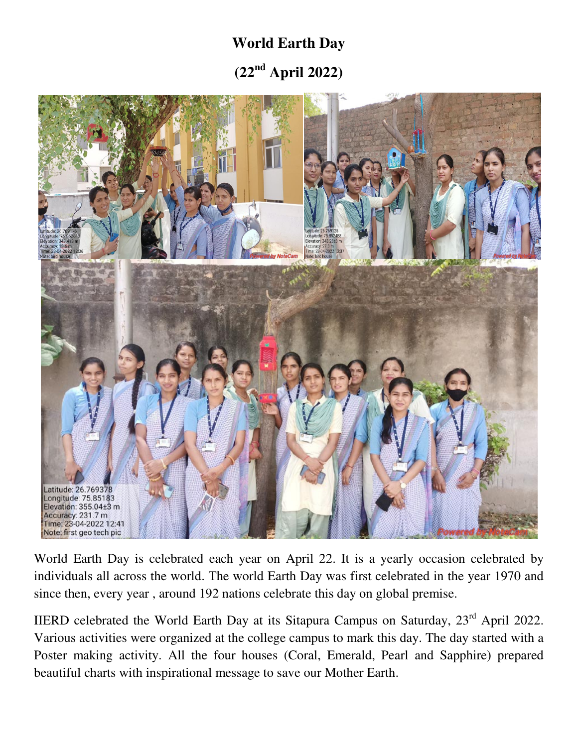## **World Earth Day (22nd April 2022)**



World Earth Day is celebrated each year on April 22. It is a yearly occasion celebrated by individuals all across the world. The world Earth Day was first celebrated in the year 1970 and since then, every year , around 192 nations celebrate this day on global premise.

IIERD celebrated the World Earth Day at its Sitapura Campus on Saturday, 23rd April 2022. Various activities were organized at the college campus to mark this day. The day started with a Poster making activity. All the four houses (Coral, Emerald, Pearl and Sapphire) prepared beautiful charts with inspirational message to save our Mother Earth.